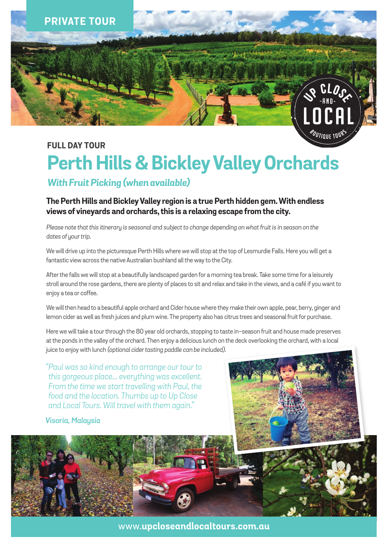

### **FULL DAY TOUR**

# **Perth Hills & Bickley Valley Orchards**

## *With Fruit Picking (when available)*

#### **The Perth Hills and Bickley Valley region is a true Perth hidden gem. With endless views of vineyards and orchards, this is a relaxing escape from the city.**

*Please note that this itinerary is seasonal and subject to change depending on what fruit is in season on the dates of your trip.*

We will drive up into the picturesque Perth Hills where we will stop at the top of Lesmurdie Falls. Here you will get a fantastic view across the native Australian bushland all the way to the City.

After the falls we will stop at a beautifully landscaped garden for a morning tea break. Take some time for a leisurely stroll around the rose gardens, there are plenty of places to sit and relax and take in the views, and a café if you want to enjoy a tea or coffee.

We will then head to a beautiful apple orchard and Cider house where they make their own apple, pear, berry, ginger and lemon cider as well as fresh juices and plum wine. The property also has citrus trees and seasonal fruit for purchase*.*

Here we will take a tour through the 80 year old orchards, stopping to taste in-season fruit and house made preserves at the ponds in the valley of the orchard. Then enjoy a delicious lunch on the deck overlooking the orchard, with a local juice to enjoy with lunch *(optional cider tasting paddle can be included)*.

*"Paul was so kind enough to arrange our tour to this gorgeous place... everything was excellent. From the time we start travelling with Paul, the food and the location. Thumbs up to Up Close and Local Tours. Will travel with them again."*

#### *Visoria, Malaysia*



www.**upcloseandlocaltours.com.au**